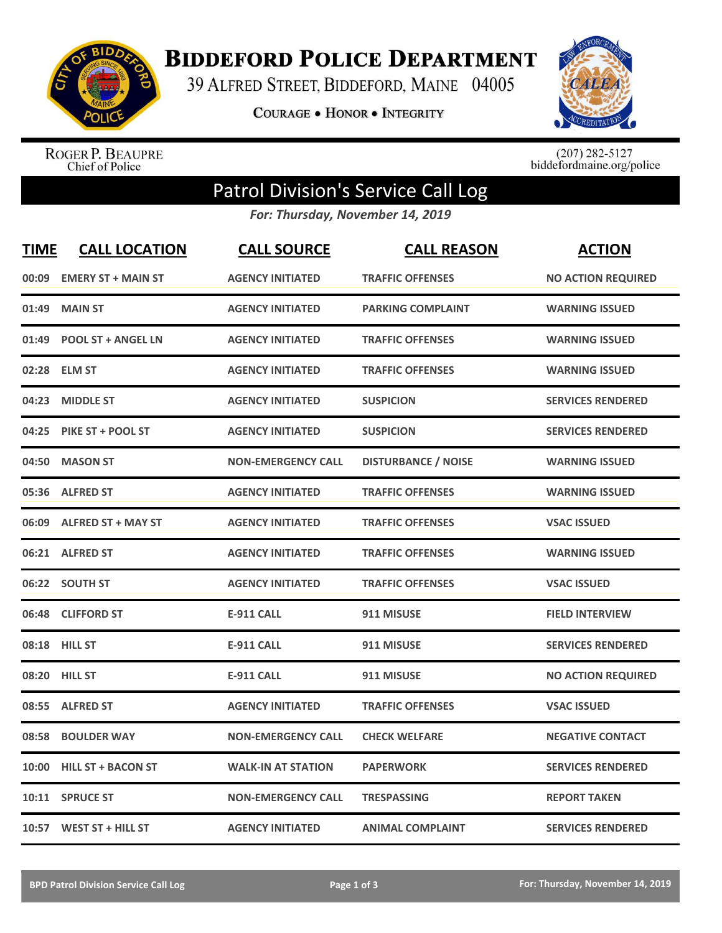

**BIDDEFORD POLICE DEPARTMENT** 

39 ALFRED STREET, BIDDEFORD, MAINE 04005

**COURAGE . HONOR . INTEGRITY** 



ROGER P. BEAUPRE<br>Chief of Police

 $(207)$  282-5127<br>biddefordmaine.org/police

## Patrol Division's Service Call Log

*For: Thursday, November 14, 2019*

| <b>TIME</b> | <b>CALL LOCATION</b>      | <b>CALL SOURCE</b>        | <b>CALL REASON</b>         | <b>ACTION</b>             |
|-------------|---------------------------|---------------------------|----------------------------|---------------------------|
| 00:09       | <b>EMERY ST + MAIN ST</b> | <b>AGENCY INITIATED</b>   | <b>TRAFFIC OFFENSES</b>    | <b>NO ACTION REQUIRED</b> |
| 01:49       | <b>MAIN ST</b>            | <b>AGENCY INITIATED</b>   | <b>PARKING COMPLAINT</b>   | <b>WARNING ISSUED</b>     |
| 01:49       | <b>POOL ST + ANGEL LN</b> | <b>AGENCY INITIATED</b>   | <b>TRAFFIC OFFENSES</b>    | <b>WARNING ISSUED</b>     |
| 02:28       | <b>ELM ST</b>             | <b>AGENCY INITIATED</b>   | <b>TRAFFIC OFFENSES</b>    | <b>WARNING ISSUED</b>     |
| 04:23       | <b>MIDDLE ST</b>          | <b>AGENCY INITIATED</b>   | <b>SUSPICION</b>           | <b>SERVICES RENDERED</b>  |
| 04:25       | PIKE ST + POOL ST         | <b>AGENCY INITIATED</b>   | <b>SUSPICION</b>           | <b>SERVICES RENDERED</b>  |
| 04:50       | <b>MASON ST</b>           | <b>NON-EMERGENCY CALL</b> | <b>DISTURBANCE / NOISE</b> | <b>WARNING ISSUED</b>     |
| 05:36       | <b>ALFRED ST</b>          | <b>AGENCY INITIATED</b>   | <b>TRAFFIC OFFENSES</b>    | <b>WARNING ISSUED</b>     |
| 06:09       | <b>ALFRED ST + MAY ST</b> | <b>AGENCY INITIATED</b>   | <b>TRAFFIC OFFENSES</b>    | <b>VSAC ISSUED</b>        |
| 06:21       | <b>ALFRED ST</b>          | <b>AGENCY INITIATED</b>   | <b>TRAFFIC OFFENSES</b>    | <b>WARNING ISSUED</b>     |
|             | 06:22 SOUTH ST            | <b>AGENCY INITIATED</b>   | <b>TRAFFIC OFFENSES</b>    | <b>VSAC ISSUED</b>        |
| 06:48       | <b>CLIFFORD ST</b>        | <b>E-911 CALL</b>         | 911 MISUSE                 | <b>FIELD INTERVIEW</b>    |
| 08:18       | <b>HILL ST</b>            | <b>E-911 CALL</b>         | 911 MISUSE                 | <b>SERVICES RENDERED</b>  |
| 08:20       | <b>HILL ST</b>            | <b>E-911 CALL</b>         | 911 MISUSE                 | <b>NO ACTION REQUIRED</b> |
| 08:55       | <b>ALFRED ST</b>          | <b>AGENCY INITIATED</b>   | <b>TRAFFIC OFFENSES</b>    | <b>VSAC ISSUED</b>        |
| 08:58       | <b>BOULDER WAY</b>        | <b>NON-EMERGENCY CALL</b> | <b>CHECK WELFARE</b>       | <b>NEGATIVE CONTACT</b>   |
| 10:00       | <b>HILL ST + BACON ST</b> | <b>WALK-IN AT STATION</b> | <b>PAPERWORK</b>           | <b>SERVICES RENDERED</b>  |
| 10:11       | <b>SPRUCE ST</b>          | <b>NON-EMERGENCY CALL</b> | <b>TRESPASSING</b>         | <b>REPORT TAKEN</b>       |
|             | 10:57 WEST ST + HILL ST   | <b>AGENCY INITIATED</b>   | <b>ANIMAL COMPLAINT</b>    | <b>SERVICES RENDERED</b>  |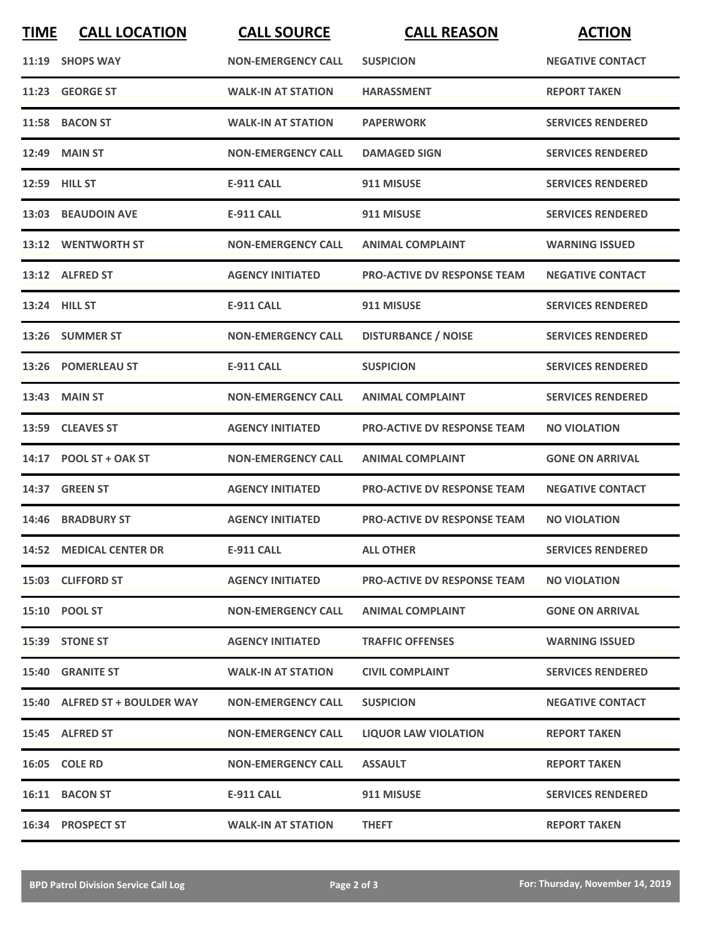| <b>TIME</b> | <b>CALL LOCATION</b>          | <b>CALL SOURCE</b>        | <b>CALL REASON</b>                 | <b>ACTION</b>            |
|-------------|-------------------------------|---------------------------|------------------------------------|--------------------------|
|             | 11:19 SHOPS WAY               | <b>NON-EMERGENCY CALL</b> | <b>SUSPICION</b>                   | <b>NEGATIVE CONTACT</b>  |
|             | 11:23 GEORGE ST               | <b>WALK-IN AT STATION</b> | <b>HARASSMENT</b>                  | <b>REPORT TAKEN</b>      |
|             | 11:58 BACON ST                | <b>WALK-IN AT STATION</b> | <b>PAPERWORK</b>                   | <b>SERVICES RENDERED</b> |
|             | <b>12:49 MAIN ST</b>          | <b>NON-EMERGENCY CALL</b> | <b>DAMAGED SIGN</b>                | <b>SERVICES RENDERED</b> |
|             | 12:59 HILL ST                 | <b>E-911 CALL</b>         | 911 MISUSE                         | <b>SERVICES RENDERED</b> |
|             | 13:03 BEAUDOIN AVE            | <b>E-911 CALL</b>         | 911 MISUSE                         | <b>SERVICES RENDERED</b> |
|             | 13:12 WENTWORTH ST            | <b>NON-EMERGENCY CALL</b> | <b>ANIMAL COMPLAINT</b>            | <b>WARNING ISSUED</b>    |
|             | 13:12 ALFRED ST               | <b>AGENCY INITIATED</b>   | <b>PRO-ACTIVE DV RESPONSE TEAM</b> | <b>NEGATIVE CONTACT</b>  |
|             | 13:24 HILL ST                 | <b>E-911 CALL</b>         | 911 MISUSE                         | <b>SERVICES RENDERED</b> |
|             | 13:26 SUMMER ST               | <b>NON-EMERGENCY CALL</b> | <b>DISTURBANCE / NOISE</b>         | <b>SERVICES RENDERED</b> |
|             | 13:26 POMERLEAU ST            | <b>E-911 CALL</b>         | <b>SUSPICION</b>                   | <b>SERVICES RENDERED</b> |
| 13:43       | <b>MAIN ST</b>                | <b>NON-EMERGENCY CALL</b> | <b>ANIMAL COMPLAINT</b>            | <b>SERVICES RENDERED</b> |
|             | 13:59 CLEAVES ST              | <b>AGENCY INITIATED</b>   | <b>PRO-ACTIVE DV RESPONSE TEAM</b> | <b>NO VIOLATION</b>      |
|             | 14:17 POOL ST + OAK ST        | <b>NON-EMERGENCY CALL</b> | <b>ANIMAL COMPLAINT</b>            | <b>GONE ON ARRIVAL</b>   |
| 14:37       | <b>GREEN ST</b>               | <b>AGENCY INITIATED</b>   | <b>PRO-ACTIVE DV RESPONSE TEAM</b> | <b>NEGATIVE CONTACT</b>  |
|             | 14:46 BRADBURY ST             | <b>AGENCY INITIATED</b>   | <b>PRO-ACTIVE DV RESPONSE TEAM</b> | <b>NO VIOLATION</b>      |
|             | 14:52 MEDICAL CENTER DR       | E-911 CALL                | <b>ALL OTHER</b>                   | <b>SERVICES RENDERED</b> |
|             | 15:03 CLIFFORD ST             | <b>AGENCY INITIATED</b>   | <b>PRO-ACTIVE DV RESPONSE TEAM</b> | <b>NO VIOLATION</b>      |
|             | 15:10 POOL ST                 | <b>NON-EMERGENCY CALL</b> | <b>ANIMAL COMPLAINT</b>            | <b>GONE ON ARRIVAL</b>   |
|             | 15:39 STONE ST                | <b>AGENCY INITIATED</b>   | <b>TRAFFIC OFFENSES</b>            | <b>WARNING ISSUED</b>    |
|             | <b>15:40 GRANITE ST</b>       | <b>WALK-IN AT STATION</b> | <b>CIVIL COMPLAINT</b>             | <b>SERVICES RENDERED</b> |
|             | 15:40 ALFRED ST + BOULDER WAY | <b>NON-EMERGENCY CALL</b> | <b>SUSPICION</b>                   | <b>NEGATIVE CONTACT</b>  |
|             | 15:45 ALFRED ST               | <b>NON-EMERGENCY CALL</b> | <b>LIQUOR LAW VIOLATION</b>        | <b>REPORT TAKEN</b>      |
|             | 16:05 COLE RD                 | <b>NON-EMERGENCY CALL</b> | <b>ASSAULT</b>                     | <b>REPORT TAKEN</b>      |
|             | 16:11 BACON ST                | E-911 CALL                | 911 MISUSE                         | <b>SERVICES RENDERED</b> |
|             | 16:34 PROSPECT ST             | <b>WALK-IN AT STATION</b> | <b>THEFT</b>                       | <b>REPORT TAKEN</b>      |